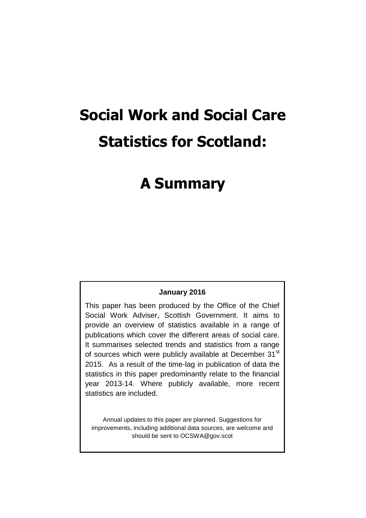# **Social Work and Social Care Statistics for Scotland:**

# **A Summary**

#### **January 2016**

This paper has been produced by the Office of the Chief Social Work Adviser, Scottish Government. It aims to provide an overview of statistics available in a range of publications which cover the different areas of social care. It summarises selected trends and statistics from a range of sources which were publicly available at December 31<sup>st</sup> 2015. As a result of the time-lag in publication of data the statistics in this paper predominantly relate to the financial year 2013-14. Where publicly available, more recent statistics are included.

Annual updates to this paper are planned. Suggestions for improvements, including additional data sources, are welcome and should be sent to OCSWA@gov.scot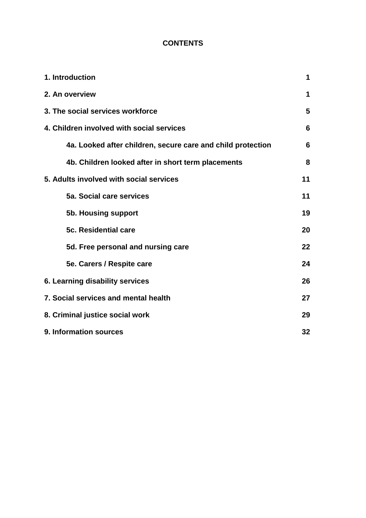# **CONTENTS**

| 1. Introduction                                             | 1  |  |
|-------------------------------------------------------------|----|--|
| 2. An overview                                              | 1  |  |
| 3. The social services workforce                            |    |  |
| 4. Children involved with social services                   |    |  |
| 4a. Looked after children, secure care and child protection | 6  |  |
| 4b. Children looked after in short term placements          | 8  |  |
| 5. Adults involved with social services                     | 11 |  |
| 5a. Social care services                                    | 11 |  |
| 5b. Housing support                                         | 19 |  |
| 5c. Residential care                                        | 20 |  |
| 5d. Free personal and nursing care                          | 22 |  |
| 5e. Carers / Respite care                                   | 24 |  |
| 6. Learning disability services                             | 26 |  |
| 7. Social services and mental health                        |    |  |
| 8. Criminal justice social work                             |    |  |
| 9. Information sources                                      |    |  |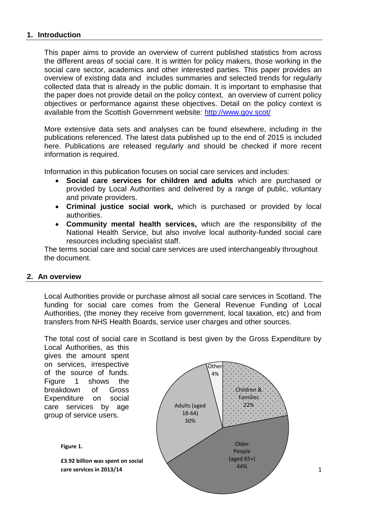#### **1. Introduction**

This paper aims to provide an overview of current published statistics from across the different areas of social care. It is written for policy makers, those working in the social care sector, academics and other interested parties. This paper provides an overview of existing data and includes summaries and selected trends for regularly collected data that is already in the public domain. It is important to emphasise that the paper does not provide detail on the policy context, an overview of current policy objectives or performance against these objectives. Detail on the policy context is available from the Scottish Government website:<http://www.gov.scot/>

More extensive data sets and analyses can be found elsewhere, including in the publications referenced. The latest data published up to the end of 2015 is included here. Publications are released regularly and should be checked if more recent information is required.

Information in this publication focuses on social care services and includes:

- **Social care services for children and adults** which are purchased or provided by Local Authorities and delivered by a range of public, voluntary and private providers.
- **Criminal justice social work,** which is purchased or provided by local authorities.
- **Community mental health services,** which are the responsibility of the National Health Service, but also involve local authority-funded social care resources including specialist staff.

The terms social care and social care services are used interchangeably throughout the document.

#### **2. An overview**

Local Authorities provide or purchase almost all social care services in Scotland. The funding for social care comes from the General Revenue Funding of Local Authorities, (the money they receive from government, local taxation, etc) and from transfers from NHS Health Boards, service user charges and other sources.

The total cost of social care in Scotland is best given by the Gross Expenditure by Local Authorities, as this

gives the amount spent on services, irrespective of the source of funds. Figure 1 shows the breakdown of Gross Expenditure on social care services by age group of service users.



**£3.92 billion was spent on social care services in 2013/14**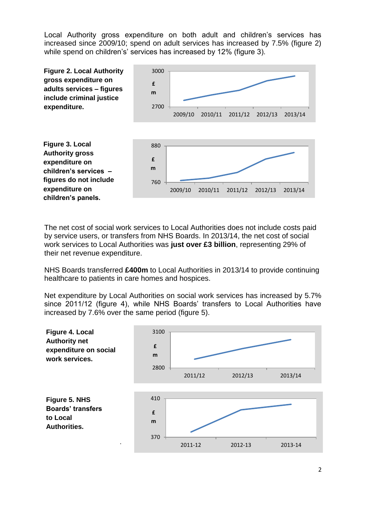Local Authority gross expenditure on both adult and children's services has increased since 2009/10; spend on adult services has increased by 7.5% (figure 2) while spend on children's' services has increased by 12% (figure 3).



The net cost of social work services to Local Authorities does not include costs paid by service users, or transfers from NHS Boards. In 2013/14, the net cost of social work services to Local Authorities was **just over £3 billion**, representing 29% of their net revenue expenditure.

NHS Boards transferred **£400m** to Local Authorities in 2013/14 to provide continuing healthcare to patients in care homes and hospices.

Net expenditure by Local Authorities on social work services has increased by 5.7% since 2011/12 (figure 4), while NHS Boards' transfers to Local Authorities have increased by 7.6% over the same period (figure 5).

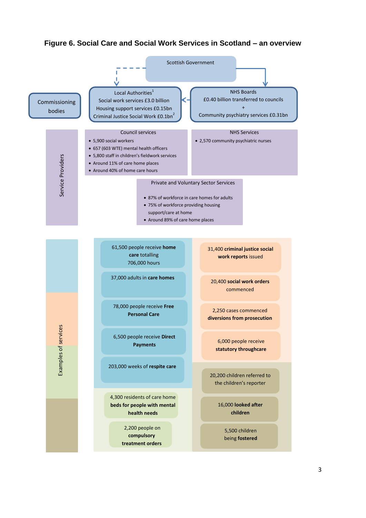#### **Figure 6. Social Care and Social Work Services in Scotland – an overview**

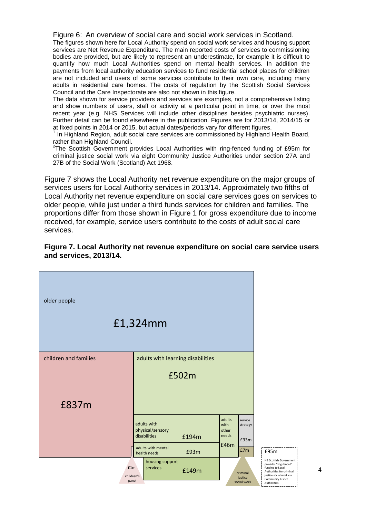Figure 6: An overview of social care and social work services in Scotland.

The figures shown here for Local Authority spend on social work services and housing support services are Net Revenue Expenditure. The main reported costs of services to commissioning bodies are provided, but are likely to represent an underestimate, for example it is difficult to quantify how much Local Authorities spend on mental health services. In addition the payments from local authority education services to fund residential school places for children are not included and users of some services contribute to their own care, including many adults in residential care homes. The costs of regulation by the Scottish Social Services Council and the Care Inspectorate are also not shown in this figure.

The data shown for service providers and services are examples, not a comprehensive listing and show numbers of users, staff or activity at a particular point in time, or over the most recent year (e.g. NHS Services will include other disciplines besides psychiatric nurses). Further detail can be found elsewhere in the publication. Figures are for 2013/14, 2014/15 or at fixed points in 2014 or 2015, but actual dates/periods vary for different figures.

<sup>1</sup> In Highland Region, adult social care services are commissioned by Highland Health Board,

rather than Highland Council.<br><sup>2</sup>The Scottish Government provides Local Authorities with ring-fenced funding of £95m for criminal justice social work via eight Community Justice Authorities under section 27A and 27B of the Social Work (Scotland) Act 1968.

Figure 7 shows the Local Authority net revenue expenditure on the major groups of services users for Local Authority services in 2013/14. Approximately two fifths of Local Authority net revenue expenditure on social care services goes on services to older people, while just under a third funds services for children and families. The proportions differ from those shown in Figure 1 for gross expenditure due to income received, for example, service users contribute to the costs of adult social care services.

#### **Figure 7. Local Authority net revenue expenditure on social care service users and services, 2013/14.**



4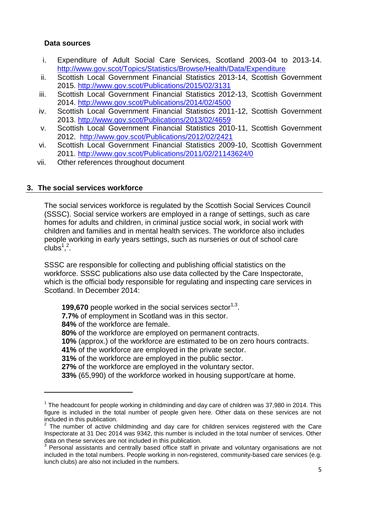#### **Data sources**

- i. Expenditure of Adult Social Care Services, Scotland 2003-04 to 2013-14. <http://www.gov.scot/Topics/Statistics/Browse/Health/Data/Expenditure>
- ii. Scottish Local Government Financial Statistics 2013-14, Scottish Government 2015.<http://www.gov.scot/Publications/2015/02/3131>
- iii. Scottish Local Government Financial Statistics 2012-13, Scottish Government 2014.<http://www.gov.scot/Publications/2014/02/4500>
- iv. Scottish Local Government Financial Statistics 2011-12, Scottish Government 2013.<http://www.gov.scot/Publications/2013/02/4659>
- v. Scottish Local Government Financial Statistics 2010-11, Scottish Government 2012. <http://www.gov.scot/Publications/2012/02/2421>
- vi. Scottish Local Government Financial Statistics 2009-10, Scottish Government 2011.<http://www.gov.scot/Publications/2011/02/21143624/0>
- vii. Other references throughout document

#### **3. The social services workforce**

**.** 

The social services workforce is regulated by the Scottish Social Services Council (SSSC). Social service workers are employed in a range of settings, such as care homes for adults and children, in criminal justice social work, in social work with children and families and in mental health services. The workforce also includes people working in early years settings, such as nurseries or out of school care  $\text{clubs}^1$ <sup>2</sup>.

SSSC are responsible for collecting and publishing official statistics on the workforce. SSSC publications also use data collected by the Care Inspectorate, which is the official body responsible for regulating and inspecting care services in Scotland. In December 2014:

**199,670** people worked in the social services sector<sup>1,3</sup>. **7.7%** of employment in Scotland was in this sector. **84%** of the workforce are female. **80%** of the workforce are employed on permanent contracts. **10%** (approx.) of the workforce are estimated to be on zero hours contracts. **41%** of the workforce are employed in the private sector. **31%** of the workforce are employed in the public sector. **27%** of the workforce are employed in the voluntary sector. **33%** (65,990) of the workforce worked in housing support/care at home.

 $1$  The headcount for people working in childminding and day care of children was 37,980 in 2014. This figure is included in the total number of people given here. Other data on these services are not included in this publication.

 $2$  The number of active childminding and day care for children services registered with the Care Inspectorate at 31 Dec 2014 was 9342, this number is included in the total number of services. Other data on these services are not included in this publication.

 $3$  Personal assistants and centrally based office staff in private and voluntary organisations are not included in the total numbers. People working in non-registered, community-based care services (e.g. lunch clubs) are also not included in the numbers.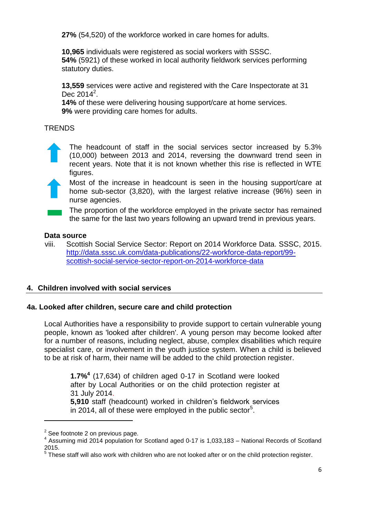**27%** (54,520) of the workforce worked in care homes for adults.

**10,965** individuals were registered as social workers with SSSC. **54%** (5921) of these worked in local authority fieldwork services performing statutory duties.

**13,559** services were active and registered with the Care Inspectorate at 31 Dec 2014<sup>2</sup>.

**14%** of these were delivering housing support/care at home services. **9%** were providing care homes for adults.

## **TRENDS**



The headcount of staff in the social services sector increased by 5.3% (10,000) between 2013 and 2014, reversing the downward trend seen in recent years. Note that it is not known whether this rise is reflected in WTE figures.



Most of the increase in headcount is seen in the housing support/care at home sub-sector (3,820), with the largest relative increase (96%) seen in nurse agencies.

The proportion of the workforce employed in the private sector has remained the same for the last two years following an upward trend in previous years.

#### **Data source**

viii. Scottish Social Service Sector: Report on 2014 Workforce Data. SSSC, 2015. [http://data.sssc.uk.com/data-publications/22-workforce-data-report/99](http://data.sssc.uk.com/data-publications/22-workforce-data-report/99-scottish-social-service-sector-report-on-2014-workforce-data) [scottish-social-service-sector-report-on-2014-workforce-data](http://data.sssc.uk.com/data-publications/22-workforce-data-report/99-scottish-social-service-sector-report-on-2014-workforce-data)

# **4. Children involved with social services**

#### **4a. Looked after children, secure care and child protection**

Local Authorities have a responsibility to provide support to certain vulnerable young people, known as 'looked after children'. A young person may become looked after for a number of reasons, including neglect, abuse, complex disabilities which require specialist care, or involvement in the youth justice system. When a child is believed to be at risk of harm, their name will be added to the child protection register.

**1.7% 4** (17,634) of children aged 0-17 in Scotland were looked after by Local Authorities or on the child protection register at 31 July 2014. **5,910** staff (headcount) worked in children's fieldwork services in 2014, all of these were employed in the public sector<sup>5</sup>.

**.** 

 $2$  See footnote 2 on previous page.

<sup>&</sup>lt;sup>4</sup> Assuming mid 2014 population for Scotland aged 0-17 is 1,033,183 - National Records of Scotland 2015.

 $5$  These staff will also work with children who are not looked after or on the child protection register.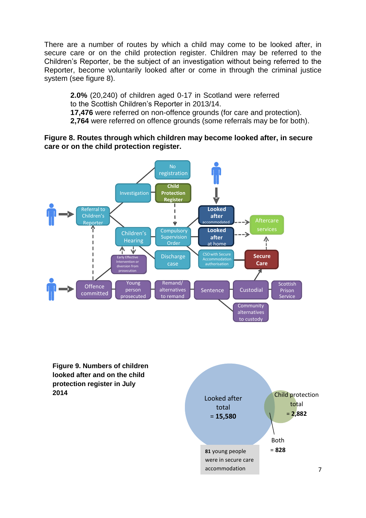There are a number of routes by which a child may come to be looked after, in secure care or on the child protection register. Children may be referred to the Children's Reporter, be the subject of an investigation without being referred to the Reporter, become voluntarily looked after or come in through the criminal justice system (see figure 8).

**2.0%** (20,240) of children aged 0-17 in Scotland were referred to the Scottish Children's Reporter in 2013/14. **17,476** were referred on non-offence grounds (for care and protection). **2,764** were referred on offence grounds (some referrals may be for both).

#### **Figure 8. Routes through which children may become looked after, in secure care or on the child protection register.**



**Figure 9. Numbers of children looked after and on the child protection register in July 2014**

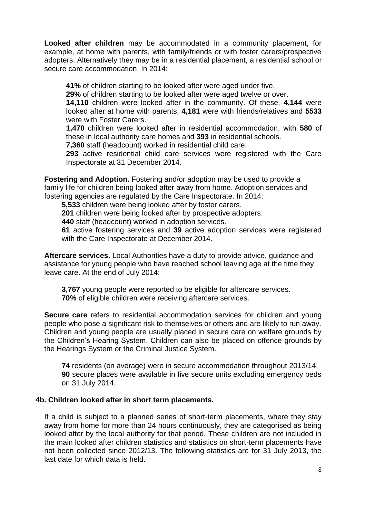**Looked after children** may be accommodated in a community placement, for example, at home with parents, with family/friends or with foster carers/prospective adopters. Alternatively they may be in a residential placement, a residential school or secure care accommodation. In 2014:

**41%** of children starting to be looked after were aged under five.

**29%** of children starting to be looked after were aged twelve or over.

**14,110** children were looked after in the community. Of these, **4,144** were looked after at home with parents, **4,181** were with friends/relatives and **5533** were with Foster Carers.

**1,470** children were looked after in residential accommodation, with **580** of these in local authority care homes and **393** in residential schools.

**7,360** staff (headcount) worked in residential child care.

**293** active residential child care services were registered with the Care Inspectorate at 31 December 2014.

**Fostering and Adoption.** Fostering and/or adoption may be used to provide a family life for children being looked after away from home. Adoption services and fostering agencies are regulated by the Care Inspectorate. In 2014:

**5,533** children were being looked after by foster carers.

**201** children were being looked after by prospective adopters.

**440** staff (headcount) worked in adoption services.

**61** active fostering services and **39** active adoption services were registered with the Care Inspectorate at December 2014.

**Aftercare services.** Local Authorities have a duty to provide advice, guidance and assistance for young people who have reached school leaving age at the time they leave care. At the end of July 2014:

**3,767** young people were reported to be eligible for aftercare services. **70%** of eligible children were receiving aftercare services.

**Secure care** refers to residential accommodation services for children and young people who pose a significant risk to themselves or others and are likely to run away. Children and young people are usually placed in secure care on welfare grounds by the Children's Hearing System. Children can also be placed on offence grounds by the Hearings System or the Criminal Justice System.

**74** residents (on average) were in secure accommodation throughout 2013/14. **90** secure places were available in five secure units excluding emergency beds on 31 July 2014.

#### **4b. Children looked after in short term placements.**

If a child is subject to a planned series of short-term placements, where they stay away from home for more than 24 hours continuously, they are categorised as being looked after by the local authority for that period. These children are not included in the main looked after children statistics and statistics on short-term placements have not been collected since 2012/13. The following statistics are for 31 July 2013, the last date for which data is held.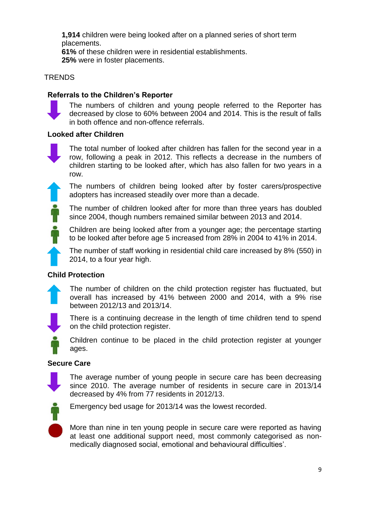**1,914** children were being looked after on a planned series of short term placements.

**61%** of these children were in residential establishments. **25%** were in foster placements.

# **TRENDS**

# **Referrals to the Children's Reporter**



The numbers of children and young people referred to the Reporter has decreased by close to 60% between 2004 and 2014. This is the result of falls in both offence and non-offence referrals.

# **Looked after Children**



The total number of looked after children has fallen for the second year in a row, following a peak in 2012. This reflects a decrease in the numbers of children starting to be looked after, which has also fallen for two years in a row.

The numbers of children being looked after by foster carers/prospective adopters has increased steadily over more than a decade.

The number of children looked after for more than three years has doubled since 2004, though numbers remained similar between 2013 and 2014.

Children are being looked after from a younger age; the percentage starting to be looked after before age 5 increased from 28% in 2004 to 41% in 2014.

The number of staff working in residential child care increased by 8% (550) in 2014, to a four year high.

# **Child Protection**

The number of children on the child protection register has fluctuated, but overall has increased by 41% between 2000 and 2014, with a 9% rise between 2012/13 and 2013/14.

There is a continuing decrease in the length of time children tend to spend on the child protection register.

Children continue to be placed in the child protection register at younger ages.

# **Secure Care**



The average number of young people in secure care has been decreasing since 2010. The average number of residents in secure care in 2013/14 decreased by 4% from 77 residents in 2012/13.



Emergency bed usage for 2013/14 was the lowest recorded.

More than nine in ten young people in secure care were reported as having at least one additional support need, most commonly categorised as nonmedically diagnosed social, emotional and behavioural difficulties'.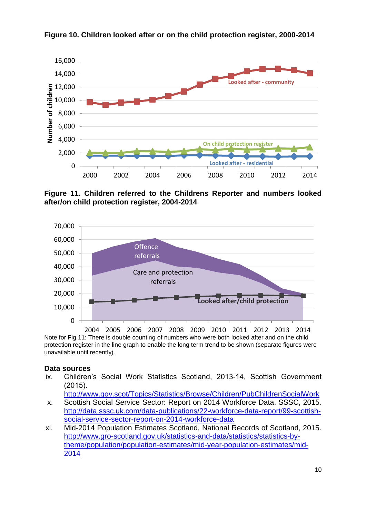

**Figure 10. Children looked after or on the child protection register, 2000-2014**

**Figure 11. Children referred to the Childrens Reporter and numbers looked after/on child protection register, 2004-2014**



Note for Fig 11: There is double counting of numbers who were both looked after and on the child protection register in the line graph to enable the long term trend to be shown (separate figures were unavailable until recently). 2004 2005 2006 2007 2008 2009 2010 2011 2012 2013 2014

# **Data sources**

ix. Children's Social Work Statistics Scotland, 2013-14, Scottish Government (2015).

<http://www.gov.scot/Topics/Statistics/Browse/Children/PubChildrenSocialWork>

- x. Scottish Social Service Sector: Report on 2014 Workforce Data. SSSC, 2015. [http://data.sssc.uk.com/data-publications/22-workforce-data-report/99-scottish](http://data.sssc.uk.com/data-publications/22-workforce-data-report/99-scottish-social-service-sector-report-on-2014-workforce-data)[social-service-sector-report-on-2014-workforce-data](http://data.sssc.uk.com/data-publications/22-workforce-data-report/99-scottish-social-service-sector-report-on-2014-workforce-data)
- xi. Mid-2014 Population Estimates Scotland, National Records of Scotland, 2015. [http://www.gro-scotland.gov.uk/statistics-and-data/statistics/statistics-by](http://www.gro-scotland.gov.uk/statistics-and-data/statistics/statistics-by-theme/population/population-estimates/mid-year-population-estimates/mid-2014)[theme/population/population-estimates/mid-year-population-estimates/mid-](http://www.gro-scotland.gov.uk/statistics-and-data/statistics/statistics-by-theme/population/population-estimates/mid-year-population-estimates/mid-2014)[2014](http://www.gro-scotland.gov.uk/statistics-and-data/statistics/statistics-by-theme/population/population-estimates/mid-year-population-estimates/mid-2014)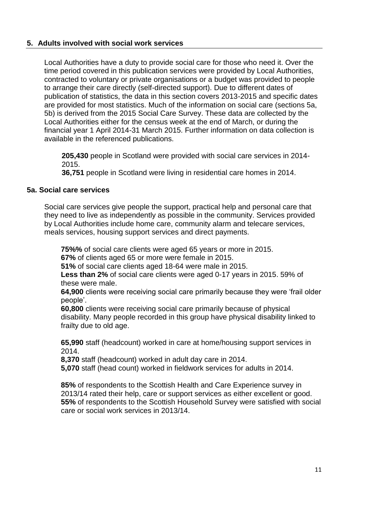## **5. Adults involved with social work services**

Local Authorities have a duty to provide social care for those who need it. Over the time period covered in this publication services were provided by Local Authorities, contracted to voluntary or private organisations or a budget was provided to people to arrange their care directly (self-directed support). Due to different dates of publication of statistics, the data in this section covers 2013-2015 and specific dates are provided for most statistics. Much of the information on social care (sections 5a, 5b) is derived from the 2015 Social Care Survey. These data are collected by the Local Authorities either for the census week at the end of March, or during the financial year 1 April 2014-31 March 2015. Further information on data collection is available in the referenced publications.

**205,430** people in Scotland were provided with social care services in 2014- 2015.

**36,751** people in Scotland were living in residential care homes in 2014.

## **5a. Social care services**

Social care services give people the support, practical help and personal care that they need to live as independently as possible in the community. Services provided by Local Authorities include home care, community alarm and telecare services, meals services, housing support services and direct payments.

**75%%** of social care clients were aged 65 years or more in 2015.

**67%** of clients aged 65 or more were female in 2015.

**51%** of social care clients aged 18-64 were male in 2015.

**Less than 2%** of social care clients were aged 0-17 years in 2015. 59% of these were male.

**64,900** clients were receiving social care primarily because they were 'frail older people'.

**60,800** clients were receiving social care primarily because of physical disability. Many people recorded in this group have physical disability linked to frailty due to old age.

**65,990** staff (headcount) worked in care at home/housing support services in 2014.

**8,370** staff (headcount) worked in adult day care in 2014.

**5,070** staff (head count) worked in fieldwork services for adults in 2014.

**85%** of respondents to the Scottish Health and Care Experience survey in 2013/14 rated their help, care or support services as either excellent or good. **55%** of respondents to the Scottish Household Survey were satisfied with social care or social work services in 2013/14.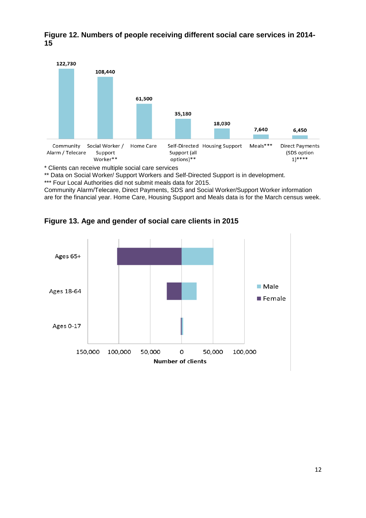**Figure 12. Numbers of people receiving different social care services in 2014- 15**



\* Clients can receive multiple social care services

\*\* Data on Social Worker/ Support Workers and Self-Directed Support is in development.

\*\*\* Four Local Authorities did not submit meals data for 2015.

Community Alarm/Telecare, Direct Payments, SDS and Social Worker/Support Worker information are for the financial year. Home Care, Housing Support and Meals data is for the March census week.

**Figure 13. Age and gender of social care clients in 2015**

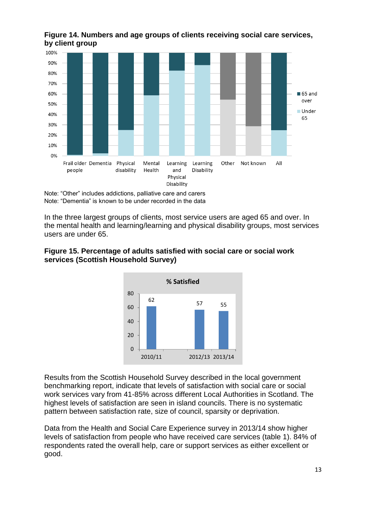



Note: "Other" includes addictions, palliative care and carers Note: "Dementia" is known to be under recorded in the data

In the three largest groups of clients, most service users are aged 65 and over. In the mental health and learning/learning and physical disability groups, most services users are under 65.

## **Figure 15. Percentage of adults satisfied with social care or social work services (Scottish Household Survey)**



Results from the Scottish Household Survey described in the local government benchmarking report, indicate that levels of satisfaction with social care or social work services vary from 41-85% across different Local Authorities in Scotland. The highest levels of satisfaction are seen in island councils. There is no systematic pattern between satisfaction rate, size of council, sparsity or deprivation.

Data from the Health and Social Care Experience survey in 2013/14 show higher levels of satisfaction from people who have received care services (table 1). 84% of respondents rated the overall help, care or support services as either excellent or good.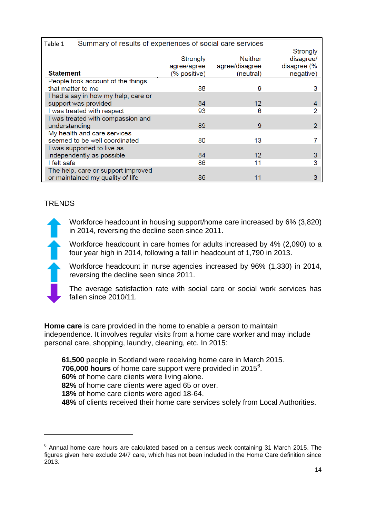| Table 1                             | Summary of results of experiences of social care services |              |                |                |  |
|-------------------------------------|-----------------------------------------------------------|--------------|----------------|----------------|--|
|                                     |                                                           |              |                | Strongly       |  |
|                                     |                                                           | Strongly     | <b>Neither</b> | disagree/      |  |
|                                     |                                                           | agree/agree  | agree/disagree | disagree (%    |  |
| <b>Statement</b>                    |                                                           | (% positive) | (neutral)      | negative)      |  |
|                                     | People took account of the things                         |              |                |                |  |
| that matter to me                   |                                                           | 88           | 9              | 3              |  |
| I had a say in how my help, care or |                                                           |              |                |                |  |
| support was provided                |                                                           | 84           | $12 \,$        | 4              |  |
| I was treated with respect          |                                                           | 93           | 6              |                |  |
| I was treated with compassion and   |                                                           |              |                |                |  |
| understanding                       |                                                           | 89           | 9              | $\overline{2}$ |  |
| My health and care services         |                                                           |              |                |                |  |
|                                     | seemed to be well coordinated                             | 80           | 13             |                |  |
|                                     | I was supported to live as                                |              |                |                |  |
|                                     | independently as possible                                 | 84           | $12 \,$        | 3              |  |
| I felt safe                         |                                                           | 86           | 11             | 3              |  |
|                                     | The help, care or support improved                        |              |                |                |  |
|                                     | or maintained my quality of life                          | 86           | 11             | 3              |  |

# **TRENDS**

**.** 

Workforce headcount in housing support/home care increased by 6% (3,820) in 2014, reversing the decline seen since 2011.

Workforce headcount in care homes for adults increased by 4% (2,090) to a four year high in 2014, following a fall in headcount of 1,790 in 2013.

Workforce headcount in nurse agencies increased by 96% (1,330) in 2014, reversing the decline seen since 2011.

The average satisfaction rate with social care or social work services has fallen since 2010/11.

**Home care** is care provided in the home to enable a person to maintain independence. It involves regular visits from a home care worker and may include personal care, shopping, laundry, cleaning, etc. In 2015:

**61,500** people in Scotland were receiving home care in March 2015.

706,000 hours of home care support were provided in 2015<sup>6</sup>.

**60%** of home care clients were living alone.

**82%** of home care clients were aged 65 or over.

**18%** of home care clients were aged 18-64.

**48%** of clients received their home care services solely from Local Authorities.

 $6$  Annual home care hours are calculated based on a census week containing 31 March 2015. The figures given here exclude 24/7 care, which has not been included in the Home Care definition since 2013.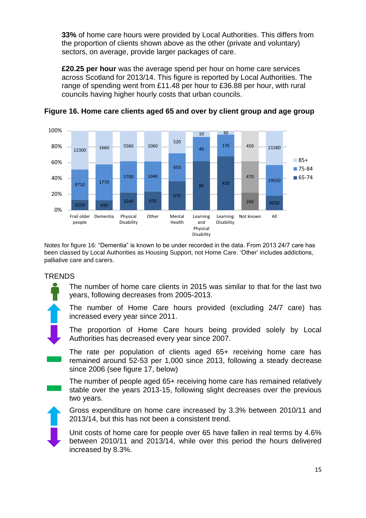**33%** of home care hours were provided by Local Authorities. This differs from the proportion of clients shown above as the other (private and voluntary) sectors, on average, provide larger packages of care.

**£20.25 per hour** was the average spend per hour on home care services across Scotland for 2013/14. This figure is reported by Local Authorities. The range of spending went from £11.48 per hour to £36.88 per hour, with rural councils having higher hourly costs that urban councils.





Notes for figure 16: "Dementia" is known to be under recorded in the data. From 2013 24/7 care has been classed by Local Authorities as Housing Support, not Home Care. 'Other' includes addictions, palliative care and carers.

# **TRENDS**

The number of home care clients in 2015 was similar to that for the last two years, following decreases from 2005-2013.

The number of Home Care hours provided (excluding 24/7 care) has increased every year since 2011.

The proportion of Home Care hours being provided solely by Local Authorities has decreased every year since 2007.

The rate per population of clients aged 65+ receiving home care has remained around 52-53 per 1,000 since 2013, following a steady decrease since 2006 (see figure 17, below)

The number of people aged 65+ receiving home care has remained relatively stable over the years 2013-15, following slight decreases over the previous two years.

Gross expenditure on home care increased by 3.3% between 2010/11 and 2013/14, but this has not been a consistent trend.

Unit costs of home care for people over 65 have fallen in real terms by 4.6% between 2010/11 and 2013/14, while over this period the hours delivered increased by 8.3%.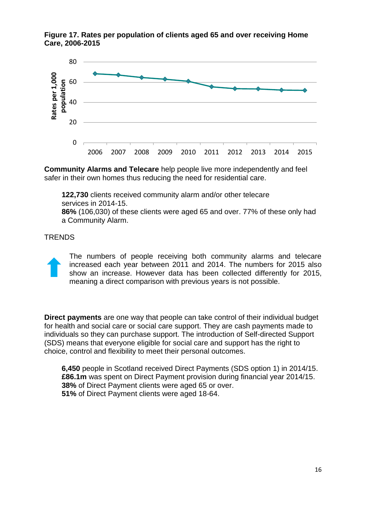



**Community Alarms and Telecare** help people live more independently and feel safer in their own homes thus reducing the need for residential care.

**122,730** clients received community alarm and/or other telecare services in 2014-15.

**86%** (106,030) of these clients were aged 65 and over. 77% of these only had a Community Alarm.

#### **TRENDS**

The numbers of people receiving both community alarms and telecare increased each year between 2011 and 2014. The numbers for 2015 also show an increase. However data has been collected differently for 2015, meaning a direct comparison with previous years is not possible.

**Direct payments** are one way that people can take control of their individual budget for health and social care or social care support. They are cash payments made to individuals so they can purchase support. The introduction of Self-directed Support (SDS) means that everyone eligible for social care and support has the right to choice, control and flexibility to meet their personal outcomes.

**6,450** people in Scotland received Direct Payments (SDS option 1) in 2014/15. **£86.1m** was spent on Direct Payment provision during financial year 2014/15. **38%** of Direct Payment clients were aged 65 or over. **51%** of Direct Payment clients were aged 18-64.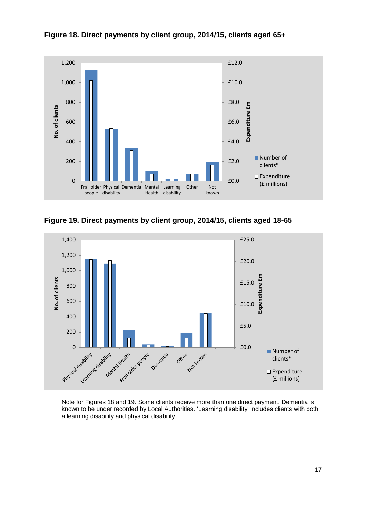

**Figure 18. Direct payments by client group, 2014/15, clients aged 65+**

**Figure 19. Direct payments by client group, 2014/15, clients aged 18-65**



Note for Figures 18 and 19. Some clients receive more than one direct payment. Dementia is known to be under recorded by Local Authorities. 'Learning disability' includes clients with both a learning disability and physical disability.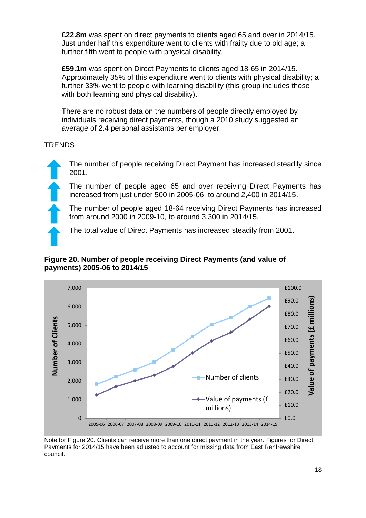**£22.8m** was spent on direct payments to clients aged 65 and over in 2014/15. Just under half this expenditure went to clients with frailty due to old age; a further fifth went to people with physical disability.

**£59.1m** was spent on Direct Payments to clients aged 18-65 in 2014/15. Approximately 35% of this expenditure went to clients with physical disability; a further 33% went to people with learning disability (this group includes those with both learning and physical disability).

There are no robust data on the numbers of people directly employed by individuals receiving direct payments, though a 2010 study suggested an average of 2.4 personal assistants per employer.

# **TRENDS**

The number of people receiving Direct Payment has increased steadily since 2001.

The number of people aged 65 and over receiving Direct Payments has increased from just under 500 in 2005-06, to around 2,400 in 2014/15.

The number of people aged 18-64 receiving Direct Payments has increased from around 2000 in 2009-10, to around 3,300 in 2014/15.

The total value of Direct Payments has increased steadily from 2001.

## **Figure 20. Number of people receiving Direct Payments (and value of payments) 2005-06 to 2014/15**



Note for Figure 20. Clients can receive more than one direct payment in the year. Figures for Direct Payments for 2014/15 have been adjusted to account for missing data from East Renfrewshire council.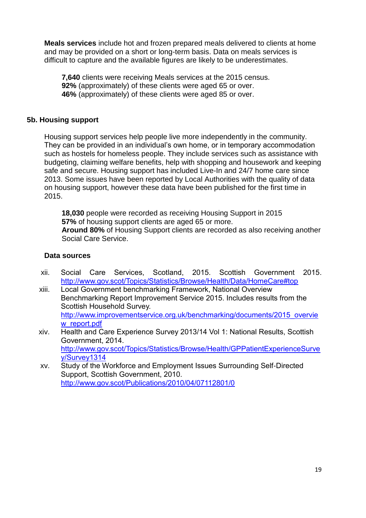**Meals services** include hot and frozen prepared meals delivered to clients at home and may be provided on a short or long-term basis. Data on meals services is difficult to capture and the available figures are likely to be underestimates.

**7,640** clients were receiving Meals services at the 2015 census. **92%** (approximately) of these clients were aged 65 or over. **46%** (approximately) of these clients were aged 85 or over.

#### **5b. Housing support**

Housing support services help people live more independently in the community. They can be provided in an individual's own home, or in temporary accommodation such as hostels for homeless people. They include services such as assistance with budgeting, claiming welfare benefits, help with shopping and housework and keeping safe and secure. Housing support has included Live-In and 24/7 home care since 2013. Some issues have been reported by Local Authorities with the quality of data on housing support, however these data have been published for the first time in 2015.

**18,030** people were recorded as receiving Housing Support in 2015 **57%** of housing support clients are aged 65 or more. **Around 80%** of Housing Support clients are recorded as also receiving another Social Care Service.

#### **Data sources**

- xii. Social Care Services, Scotland, 2015. Scottish Government 2015. <http://www.gov.scot/Topics/Statistics/Browse/Health/Data/HomeCare#top>
- xiii. Local Government benchmarking Framework, National Overview Benchmarking Report Improvement Service 2015. Includes results from the Scottish Household Survey. [http://www.improvementservice.org.uk/benchmarking/documents/2015\\_overvie](http://www.improvementservice.org.uk/benchmarking/documents/2015_overview_report.pdf) [w\\_report.pdf](http://www.improvementservice.org.uk/benchmarking/documents/2015_overview_report.pdf)
- xiv. Health and Care Experience Survey 2013/14 Vol 1: National Results, Scottish Government, 2014. [http://www.gov.scot/Topics/Statistics/Browse/Health/GPPatientExperienceSurve](http://www.gov.scot/Topics/Statistics/Browse/Health/GPPatientExperienceSurvey/Survey1314) [y/Survey1314](http://www.gov.scot/Topics/Statistics/Browse/Health/GPPatientExperienceSurvey/Survey1314)
- xv. Study of the Workforce and Employment Issues Surrounding Self-Directed Support, Scottish Government, 2010. <http://www.gov.scot/Publications/2010/04/07112801/0>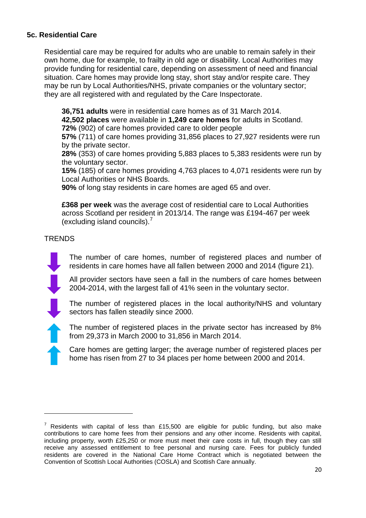# **5c. Residential Care**

Residential care may be required for adults who are unable to remain safely in their own home, due for example, to frailty in old age or disability. Local Authorities may provide funding for residential care, depending on assessment of need and financial situation. Care homes may provide long stay, short stay and/or respite care. They may be run by Local Authorities/NHS, private companies or the voluntary sector; they are all registered with and regulated by the Care Inspectorate.

**36,751 adults** were in residential care homes as of 31 March 2014.

**42,502 places** were available in **1,249 care homes** for adults in Scotland. **72%** (902) of care homes provided care to older people

**57%** (711) of care homes providing 31,856 places to 27,927 residents were run by the private sector.

**28%** (353) of care homes providing 5,883 places to 5,383 residents were run by the voluntary sector.

**15%** (185) of care homes providing 4,763 places to 4,071 residents were run by Local Authorities or NHS Boards.

**90%** of long stay residents in care homes are aged 65 and over.

**£368 per week** was the average cost of residential care to Local Authorities across Scotland per resident in 2013/14. The range was £194-467 per week (excluding island councils). $<sup>7</sup>$ </sup>

**TRENDS** 

**.** 

The number of care homes, number of registered places and number of residents in care homes have all fallen between 2000 and 2014 (figure 21).

All provider sectors have seen a fall in the numbers of care homes between 2004-2014, with the largest fall of 41% seen in the voluntary sector.

The number of registered places in the local authority/NHS and voluntary sectors has fallen steadily since 2000.

The number of registered places in the private sector has increased by 8% from 29,373 in March 2000 to 31,856 in March 2014.

Care homes are getting larger; the average number of registered places per home has risen from 27 to 34 places per home between 2000 and 2014.

 $7$  Residents with capital of less than £15,500 are eligible for public funding, but also make contributions to care home fees from their pensions and any other income. Residents with capital, including property, worth £25,250 or more must meet their care costs in full, though they can still receive any assessed entitlement to free personal and nursing care. Fees for publicly funded residents are covered in the National Care Home Contract which is negotiated between the Convention of Scottish Local Authorities (COSLA) and Scottish Care annually.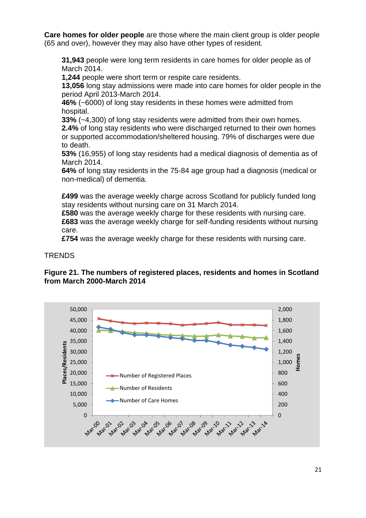**Care homes for older people** are those where the main client group is older people (65 and over), however they may also have other types of resident.

**31,943** people were long term residents in care homes for older people as of March 2014.

**1,244** people were short term or respite care residents.

**13,056** long stay admissions were made into care homes for older people in the period April 2013-March 2014.

**46%** (~6000) of long stay residents in these homes were admitted from hospital.

**33%** (~4,300) of long stay residents were admitted from their own homes.

**2.4%** of long stay residents who were discharged returned to their own homes or supported accommodation/sheltered housing. 79% of discharges were due to death.

**53%** (16,955) of long stay residents had a medical diagnosis of dementia as of March 2014.

**64%** of long stay residents in the 75-84 age group had a diagnosis (medical or non-medical) of dementia.

**£499** was the average weekly charge across Scotland for publicly funded long stay residents without nursing care on 31 March 2014.

**£580** was the average weekly charge for these residents with nursing care. **£683** was the average weekly charge for self-funding residents without nursing care.

**£754** was the average weekly charge for these residents with nursing care.

**TRENDS** 



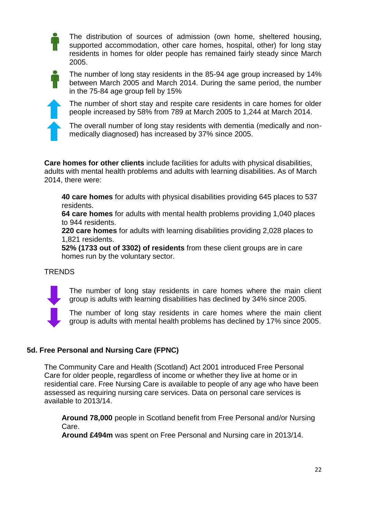The distribution of sources of admission (own home, sheltered housing, supported accommodation, other care homes, hospital, other) for long stay residents in homes for older people has remained fairly steady since March 2005.



The number of long stay residents in the 85-94 age group increased by 14% between March 2005 and March 2014. During the same period, the number in the 75-84 age group fell by 15%



The number of short stay and respite care residents in care homes for older people increased by 58% from 789 at March 2005 to 1,244 at March 2014.

The overall number of long stay residents with dementia (medically and nonmedically diagnosed) has increased by 37% since 2005.

**Care homes for other clients** include facilities for adults with physical disabilities, adults with mental health problems and adults with learning disabilities. As of March 2014, there were:

**40 care homes** for adults with physical disabilities providing 645 places to 537 residents.

**64 care homes** for adults with mental health problems providing 1,040 places to 944 residents.

**220 care homes** for adults with learning disabilities providing 2,028 places to 1,821 residents.

**52% (1733 out of 3302) of residents** from these client groups are in care homes run by the voluntary sector.

# **TRENDS**

The number of long stay residents in care homes where the main client group is adults with learning disabilities has declined by 34% since 2005.



The number of long stay residents in care homes where the main client group is adults with mental health problems has declined by 17% since 2005.

# **5d. Free Personal and Nursing Care (FPNC)**

The Community Care and Health (Scotland) Act 2001 introduced Free Personal Care for older people, regardless of income or whether they live at home or in residential care. Free Nursing Care is available to people of any age who have been assessed as requiring nursing care services. Data on personal care services is available to 2013/14.

**Around 78,000** people in Scotland benefit from Free Personal and/or Nursing Care.

**Around £494m** was spent on Free Personal and Nursing care in 2013/14.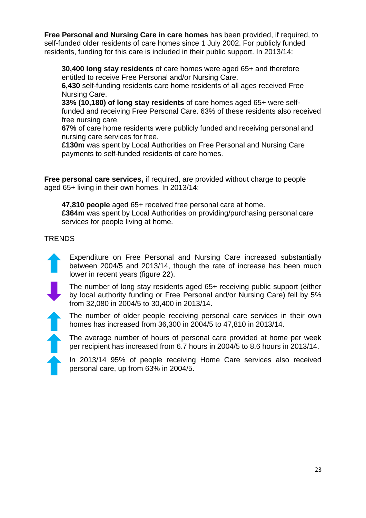**Free Personal and Nursing Care in care homes** has been provided, if required, to self-funded older residents of care homes since 1 July 2002. For publicly funded residents, funding for this care is included in their public support. In 2013/14:

**30,400 long stay residents** of care homes were aged 65+ and therefore entitled to receive Free Personal and/or Nursing Care.

**6,430** self-funding residents care home residents of all ages received Free Nursing Care.

**33% (10,180) of long stay residents** of care homes aged 65+ were selffunded and receiving Free Personal Care. 63% of these residents also received free nursing care.

**67%** of care home residents were publicly funded and receiving personal and nursing care services for free.

**£130m** was spent by Local Authorities on Free Personal and Nursing Care payments to self-funded residents of care homes.

**Free personal care services,** if required, are provided without charge to people aged 65+ living in their own homes. In 2013/14:

**47,810 people** aged 65+ received free personal care at home. **£364m** was spent by Local Authorities on providing/purchasing personal care services for people living at home.

# **TRENDS**

Expenditure on Free Personal and Nursing Care increased substantially between 2004/5 and 2013/14, though the rate of increase has been much lower in recent years (figure 22).

The number of long stay residents aged 65+ receiving public support (either by local authority funding or Free Personal and/or Nursing Care) fell by 5% from 32,080 in 2004/5 to 30,400 in 2013/14.

The number of older people receiving personal care services in their own homes has increased from 36,300 in 2004/5 to 47,810 in 2013/14.

The average number of hours of personal care provided at home per week per recipient has increased from 6.7 hours in 2004/5 to 8.6 hours in 2013/14.

In 2013/14 95% of people receiving Home Care services also received personal care, up from 63% in 2004/5.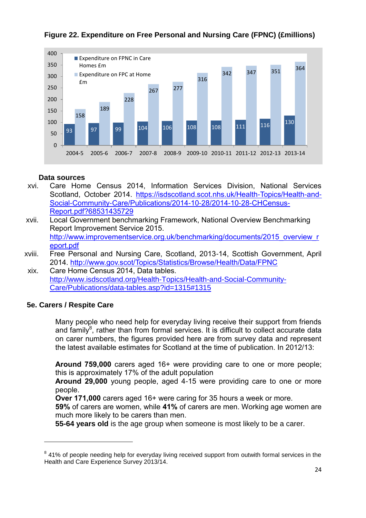

# **Figure 22. Expenditure on Free Personal and Nursing Care (FPNC) (£millions)**

## **Data sources**

- xvi. Care Home Census 2014, Information Services Division, National Services Scotland, October 2014. [https://isdscotland.scot.nhs.uk/Health-Topics/Health-and-](https://isdscotland.scot.nhs.uk/Health-Topics/Health-and-Social-Community-Care/Publications/2014-10-28/2014-10-28-CHCensus-Report.pdf?68531435729)[Social-Community-Care/Publications/2014-10-28/2014-10-28-CHCensus-](https://isdscotland.scot.nhs.uk/Health-Topics/Health-and-Social-Community-Care/Publications/2014-10-28/2014-10-28-CHCensus-Report.pdf?68531435729)[Report.pdf?68531435729](https://isdscotland.scot.nhs.uk/Health-Topics/Health-and-Social-Community-Care/Publications/2014-10-28/2014-10-28-CHCensus-Report.pdf?68531435729)
- xvii. Local Government benchmarking Framework, National Overview Benchmarking Report Improvement Service 2015. [http://www.improvementservice.org.uk/benchmarking/documents/2015\\_overview\\_r](http://www.improvementservice.org.uk/benchmarking/documents/2015_overview_report.pdf) [eport.pdf](http://www.improvementservice.org.uk/benchmarking/documents/2015_overview_report.pdf)
- xviii. Free Personal and Nursing Care, Scotland, 2013-14, Scottish Government, April 2014.<http://www.gov.scot/Topics/Statistics/Browse/Health/Data/FPNC>
- xix. Care Home Census 2014, Data tables. [http://www.isdscotland.org/Health-Topics/Health-and-Social-Community-](http://www.isdscotland.org/Health-Topics/Health-and-Social-Community-Care/Publications/data-tables.asp?id=1315#1315)[Care/Publications/data-tables.asp?id=1315#1315](http://www.isdscotland.org/Health-Topics/Health-and-Social-Community-Care/Publications/data-tables.asp?id=1315#1315)

# **5e. Carers / Respite Care**

**.** 

Many people who need help for everyday living receive their support from friends and family<sup>8</sup>, rather than from formal services. It is difficult to collect accurate data on carer numbers, the figures provided here are from survey data and represent the latest available estimates for Scotland at the time of publication. In 2012/13:

**Around 759,000** carers aged 16+ were providing care to one or more people; this is approximately 17% of the adult population

**Around 29,000** young people, aged 4-15 were providing care to one or more people.

**Over 171,000** carers aged 16+ were caring for 35 hours a week or more.

**59%** of carers are women, while **41%** of carers are men. Working age women are much more likely to be carers than men.

**55-64 years old** is the age group when someone is most likely to be a carer.

 $8$  41% of people needing help for everyday living received support from outwith formal services in the Health and Care Experience Survey 2013/14.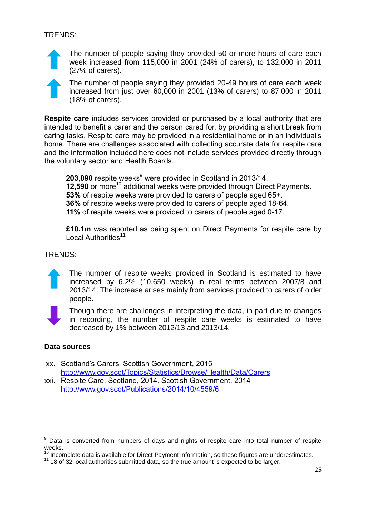The number of people saying they provided 50 or more hours of care each week increased from 115,000 in 2001 (24% of carers), to 132,000 in 2011 (27% of carers).

The number of people saying they provided 20-49 hours of care each week increased from just over 60,000 in 2001 (13% of carers) to 87,000 in 2011 (18% of carers).

**Respite care** includes services provided or purchased by a local authority that are intended to benefit a carer and the person cared for, by providing a short break from caring tasks. Respite care may be provided in a residential home or in an individual's home. There are challenges associated with collecting accurate data for respite care and the information included here does not include services provided directly through the voluntary sector and Health Boards.

**203,090** respite weeks<sup>9</sup> were provided in Scotland in 2013/14. **12,590** or more<sup>10</sup> additional weeks were provided through Direct Payments. **53%** of respite weeks were provided to carers of people aged 65+. **36%** of respite weeks were provided to carers of people aged 18-64. **11%** of respite weeks were provided to carers of people aged 0-17.

**£10.1m** was reported as being spent on Direct Payments for respite care by Local Authorities<sup>11</sup>

## TRENDS:



The number of respite weeks provided in Scotland is estimated to have increased by 6.2% (10,650 weeks) in real terms between 2007/8 and 2013/14. The increase arises mainly from services provided to carers of older people.



1

Though there are challenges in interpreting the data, in part due to changes in recording, the number of respite care weeks is estimated to have decreased by 1% between 2012/13 and 2013/14.

#### **Data sources**

- xx. Scotland's Carers, Scottish Government, 2015 <http://www.gov.scot/Topics/Statistics/Browse/Health/Data/Carers>
- xxi. Respite Care, Scotland, 2014. Scottish Government, 2014 <http://www.gov.scot/Publications/2014/10/4559/6>

 $9$  Data is converted from numbers of days and nights of respite care into total number of respite weeks.

 $10$  Incomplete data is available for Direct Payment information, so these figures are underestimates.

<sup>&</sup>lt;sup>11</sup> 18 of 32 local authorities submitted data, so the true amount is expected to be larger.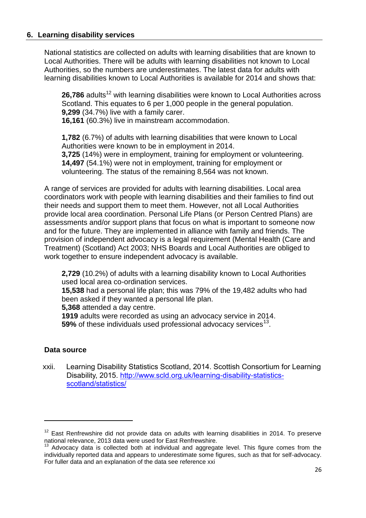#### **6. Learning disability services**

National statistics are collected on adults with learning disabilities that are known to Local Authorities. There will be adults with learning disabilities not known to Local Authorities, so the numbers are underestimates. The latest data for adults with learning disabilities known to Local Authorities is available for 2014 and shows that:

**26,786** adults<sup>12</sup> with learning disabilities were known to Local Authorities across Scotland. This equates to 6 per 1,000 people in the general population. **9,299** (34.7%) live with a family carer.

**16,161** (60.3%) live in mainstream accommodation.

**1,782** (6.7%) of adults with learning disabilities that were known to Local Authorities were known to be in employment in 2014. **3,725** (14%) were in employment, training for employment or volunteering. **14,497** (54.1%) were not in employment, training for employment or volunteering. The status of the remaining 8,564 was not known.

A range of services are provided for adults with learning disabilities. Local area coordinators work with people with learning disabilities and their families to find out their needs and support them to meet them. However, not all Local Authorities provide local area coordination. Personal Life Plans (or Person Centred Plans) are assessments and/or support plans that focus on what is important to someone now and for the future. They are implemented in alliance with family and friends. The provision of independent advocacy is a legal requirement (Mental Health (Care and Treatment) (Scotland) Act 2003; NHS Boards and Local Authorities are obliged to work together to ensure independent advocacy is available.

**2,729** (10.2%) of adults with a learning disability known to Local Authorities used local area co-ordination services.

**15,538** had a personal life plan; this was 79% of the 19,482 adults who had been asked if they wanted a personal life plan.

**5,368** attended a day centre.

**1919** adults were recorded as using an advocacy service in 2014.

**59%** of these individuals used professional advocacy services<sup>13</sup>.

# **Data source**

**.** 

xxii. Learning Disability Statistics Scotland, 2014. Scottish Consortium for Learning Disability, 2015. [http://www.scld.org.uk/learning-disability-statistics](http://www.scld.org.uk/learning-disability-statistics-scotland/statistics/)[scotland/statistics/](http://www.scld.org.uk/learning-disability-statistics-scotland/statistics/)

 $12$  East Renfrewshire did not provide data on adults with learning disabilities in 2014. To preserve national relevance, 2013 data were used for East Renfrewshire.

 $13$  Advocacy data is collected both at individual and aggregate level. This figure comes from the individually reported data and appears to underestimate some figures, such as that for self-advocacy. For fuller data and an explanation of the data see reference xxi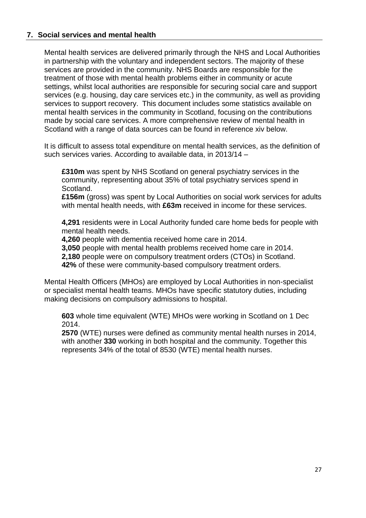## **7. Social services and mental health**

Mental health services are delivered primarily through the NHS and Local Authorities in partnership with the voluntary and independent sectors. The majority of these services are provided in the community. NHS Boards are responsible for the treatment of those with mental health problems either in community or acute settings, whilst local authorities are responsible for securing social care and support services (e.g. housing, day care services etc.) in the community, as well as providing services to support recovery. This document includes some statistics available on mental health services in the community in Scotland, focusing on the contributions made by social care services. A more comprehensive review of mental health in Scotland with a range of data sources can be found in reference xiv below.

It is difficult to assess total expenditure on mental health services, as the definition of such services varies. According to available data, in 2013/14 –

**£310m** was spent by NHS Scotland on general psychiatry services in the community, representing about 35% of total psychiatry services spend in Scotland.

**£156m** (gross) was spent by Local Authorities on social work services for adults with mental health needs, with **£63m** received in income for these services.

**4,291** residents were in Local Authority funded care home beds for people with mental health needs.

**4,260** people with dementia received home care in 2014.

**3,050** people with mental health problems received home care in 2014.

**2,180** people were on compulsory treatment orders (CTOs) in Scotland.

**42%** of these were community-based compulsory treatment orders.

Mental Health Officers (MHOs) are employed by Local Authorities in non-specialist or specialist mental health teams. MHOs have specific statutory duties, including making decisions on compulsory admissions to hospital.

**603** whole time equivalent (WTE) MHOs were working in Scotland on 1 Dec 2014.

**2570** (WTE) nurses were defined as community mental health nurses in 2014, with another 330 working in both hospital and the community. Together this represents 34% of the total of 8530 (WTE) mental health nurses.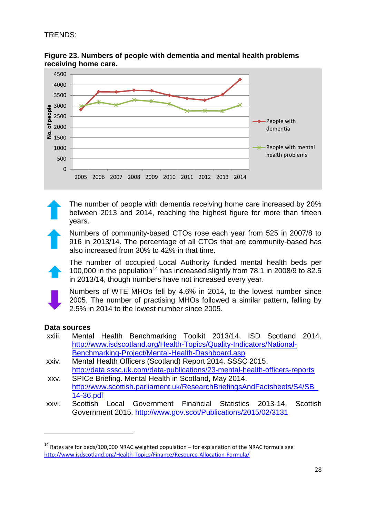

**Figure 23. Numbers of people with dementia and mental health problems receiving home care.**

The number of people with dementia receiving home care increased by 20% between 2013 and 2014, reaching the highest figure for more than fifteen years.

Numbers of community-based CTOs rose each year from 525 in 2007/8 to 916 in 2013/14. The percentage of all CTOs that are community-based has also increased from 30% to 42% in that time.

The number of occupied Local Authority funded mental health beds per 100,000 in the population<sup>14</sup> has increased slightly from 78.1 in 2008/9 to 82.5 in 2013/14, though numbers have not increased every year.

Numbers of WTE MHOs fell by 4.6% in 2014, to the lowest number since 2005. The number of practising MHOs followed a similar pattern, falling by 2.5% in 2014 to the lowest number since 2005.

#### **Data sources**

**.** 

- xxiii. Mental Health Benchmarking Toolkit 2013/14, ISD Scotland 2014. [http://www.isdscotland.org/Health-Topics/Quality-Indicators/National-](http://www.isdscotland.org/Health-Topics/Quality-Indicators/National-Benchmarking-Project/Mental-Health-Dashboard.asp)[Benchmarking-Project/Mental-Health-Dashboard.asp](http://www.isdscotland.org/Health-Topics/Quality-Indicators/National-Benchmarking-Project/Mental-Health-Dashboard.asp)
- xxiv. Mental Health Officers (Scotland) Report 2014. SSSC 2015. <http://data.sssc.uk.com/data-publications/23-mental-health-officers-reports>
- xxv. SPICe Briefing. Mental Health in Scotland, May 2014. [http://www.scottish.parliament.uk/ResearchBriefingsAndFactsheets/S4/SB\\_](http://www.scottish.parliament.uk/ResearchBriefingsAndFactsheets/S4/SB_14-36.pdf) [14-36.pdf](http://www.scottish.parliament.uk/ResearchBriefingsAndFactsheets/S4/SB_14-36.pdf)
- xxvi. Scottish Local Government Financial Statistics 2013-14, Scottish Government 2015.<http://www.gov.scot/Publications/2015/02/3131>

 $14$  Rates are for beds/100,000 NRAC weighted population – for explanation of the NRAC formula see <http://www.isdscotland.org/Health-Topics/Finance/Resource-Allocation-Formula/>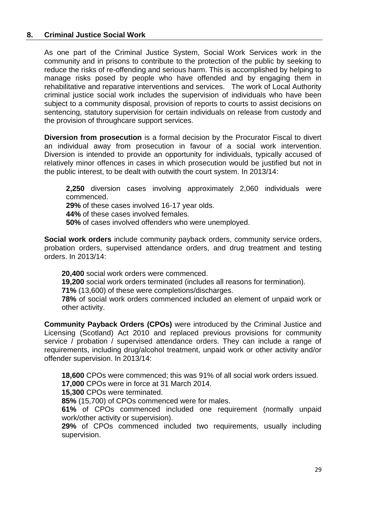#### **8. Criminal Justice Social Work**

As one part of the Criminal Justice System, Social Work Services work in the community and in prisons to contribute to the protection of the public by seeking to reduce the risks of re-offending and serious harm. This is accomplished by helping to manage risks posed by people who have offended and by engaging them in rehabilitative and reparative interventions and services. The work of Local Authority criminal justice social work includes the supervision of individuals who have been subject to a community disposal, provision of reports to courts to assist decisions on sentencing, statutory supervision for certain individuals on release from custody and the provision of throughcare support services.

**Diversion from prosecution** is a formal decision by the Procurator Fiscal to divert an individual away from prosecution in favour of a social work intervention. Diversion is intended to provide an opportunity for individuals, typically accused of relatively minor offences in cases in which prosecution would be justified but not in the public interest, to be dealt with outwith the court system. In 2013/14:

**2,250** diversion cases involving approximately 2,060 individuals were commenced.

**29%** of these cases involved 16-17 year olds.

**44%** of these cases involved females.

**50%** of cases involved offenders who were unemployed.

**Social work orders** include community payback orders, community service orders, probation orders, supervised attendance orders, and drug treatment and testing orders. In 2013/14:

**20,400** social work orders were commenced.

**19,200** social work orders terminated (includes all reasons for termination).

**71%** (13,600) of these were completions/discharges.

**78%** of social work orders commenced included an element of unpaid work or other activity.

**Community Payback Orders (CPOs)** were introduced by the Criminal Justice and Licensing (Scotland) Act 2010 and replaced previous provisions for community service / probation / supervised attendance orders. They can include a range of requirements, including drug/alcohol treatment, unpaid work or other activity and/or offender supervision. In 2013/14:

**18,600** CPOs were commenced; this was 91% of all social work orders issued.

**17,000** CPOs were in force at 31 March 2014.

**15,300** CPOs were terminated.

**85%** (15,700) of CPOs commenced were for males.

**61%** of CPOs commenced included one requirement (normally unpaid work/other activity or supervision).

**29%** of CPOs commenced included two requirements, usually including supervision.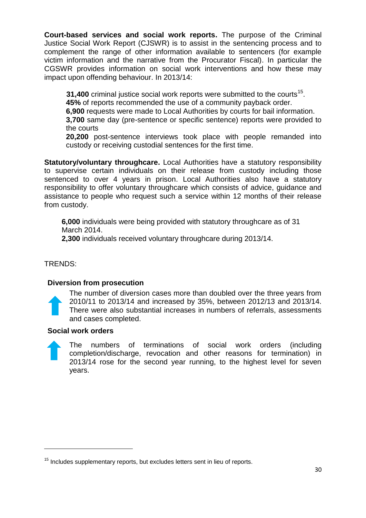**Court-based services and social work reports.** The purpose of the Criminal Justice Social Work Report (CJSWR) is to assist in the sentencing process and to complement the range of other information available to sentencers (for example victim information and the narrative from the Procurator Fiscal). In particular the CGSWR provides information on social work interventions and how these may impact upon offending behaviour. In 2013/14:

**31,400** criminal justice social work reports were submitted to the courts<sup>15</sup>.

**45%** of reports recommended the use of a community payback order.

**6,900** requests were made to Local Authorities by courts for bail information.

**3,700** same day (pre-sentence or specific sentence) reports were provided to the courts

**20,200** post-sentence interviews took place with people remanded into custody or receiving custodial sentences for the first time.

**Statutory/voluntary throughcare.** Local Authorities have a statutory responsibility to supervise certain individuals on their release from custody including those sentenced to over 4 years in prison. Local Authorities also have a statutory responsibility to offer voluntary throughcare which consists of advice, guidance and assistance to people who request such a service within 12 months of their release from custody.

**6,000** individuals were being provided with statutory throughcare as of 31 March 2014.

**2,300** individuals received voluntary throughcare during 2013/14.

TRENDS:

1

# **Diversion from prosecution**

The number of diversion cases more than doubled over the three years from 2010/11 to 2013/14 and increased by 35%, between 2012/13 and 2013/14. There were also substantial increases in numbers of referrals, assessments and cases completed.

# **Social work orders**

The numbers of terminations of social work orders (including completion/discharge, revocation and other reasons for termination) in 2013/14 rose for the second year running, to the highest level for seven years.

 $15$  Includes supplementary reports, but excludes letters sent in lieu of reports.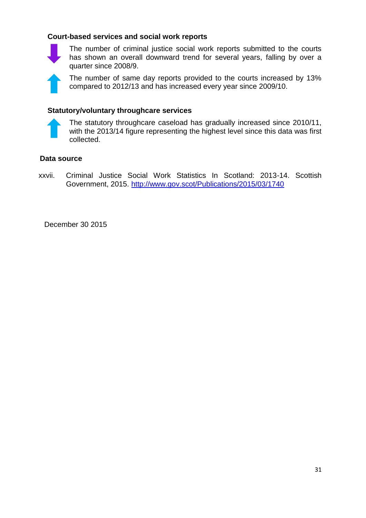## **Court-based services and social work reports**



The number of criminal justice social work reports submitted to the courts has shown an overall downward trend for several years, falling by over a quarter since 2008/9.

The number of same day reports provided to the courts increased by 13% compared to 2012/13 and has increased every year since 2009/10.

## **Statutory/voluntary throughcare services**



The statutory throughcare caseload has gradually increased since 2010/11, with the 2013/14 figure representing the highest level since this data was first collected.

#### **Data source**

xxvii. Criminal Justice Social Work Statistics In Scotland: 2013-14. Scottish Government, 2015.<http://www.gov.scot/Publications/2015/03/1740>

December 30 2015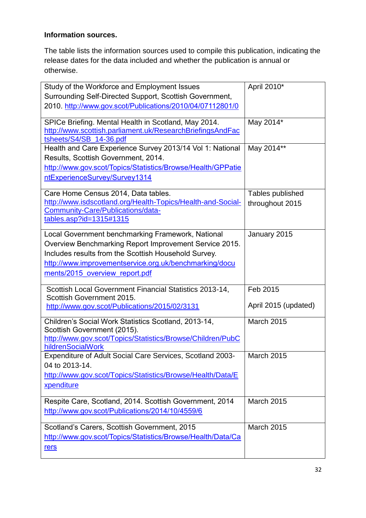# **Information sources.**

The table lists the information sources used to compile this publication, indicating the release dates for the data included and whether the publication is annual or otherwise.

| Study of the Workforce and Employment Issues<br>Surrounding Self-Directed Support, Scottish Government,<br>2010. http://www.gov.scot/Publications/2010/04/07112801/0                                                                                            | April 2010*                         |
|-----------------------------------------------------------------------------------------------------------------------------------------------------------------------------------------------------------------------------------------------------------------|-------------------------------------|
| SPICe Briefing. Mental Health in Scotland, May 2014.<br>http://www.scottish.parliament.uk/ResearchBriefingsAndFac<br>tsheets/S4/SB_14-36.pdf                                                                                                                    | May 2014*                           |
| Health and Care Experience Survey 2013/14 Vol 1: National<br>Results, Scottish Government, 2014.<br>http://www.gov.scot/Topics/Statistics/Browse/Health/GPPatie<br>ntExperienceSurvey/Survey1314                                                                | May 2014**                          |
| Care Home Census 2014, Data tables.<br>http://www.isdscotland.org/Health-Topics/Health-and-Social-<br>Community-Care/Publications/data-<br>tables.asp?id=1315#1315                                                                                              | Tables published<br>throughout 2015 |
| Local Government benchmarking Framework, National<br>Overview Benchmarking Report Improvement Service 2015.<br>Includes results from the Scottish Household Survey.<br>http://www.improvementservice.org.uk/benchmarking/docu<br>ments/2015 overview report.pdf | January 2015                        |
| Scottish Local Government Financial Statistics 2013-14,<br>Scottish Government 2015.<br>http://www.gov.scot/Publications/2015/02/3131                                                                                                                           | Feb 2015<br>April 2015 (updated)    |
| Children's Social Work Statistics Scotland, 2013-14,<br>Scottish Government (2015).<br>http://www.gov.scot/Topics/Statistics/Browse/Children/PubC<br>hildrenSocialWork                                                                                          | March 2015                          |
| Expenditure of Adult Social Care Services, Scotland 2003-<br>04 to 2013-14.<br>http://www.gov.scot/Topics/Statistics/Browse/Health/Data/E<br>xpenditure                                                                                                         | <b>March 2015</b>                   |
| Respite Care, Scotland, 2014. Scottish Government, 2014<br>http://www.gov.scot/Publications/2014/10/4559/6                                                                                                                                                      | March 2015                          |
| Scotland's Carers, Scottish Government, 2015<br>http://www.gov.scot/Topics/Statistics/Browse/Health/Data/Ca<br>rers                                                                                                                                             | March 2015                          |